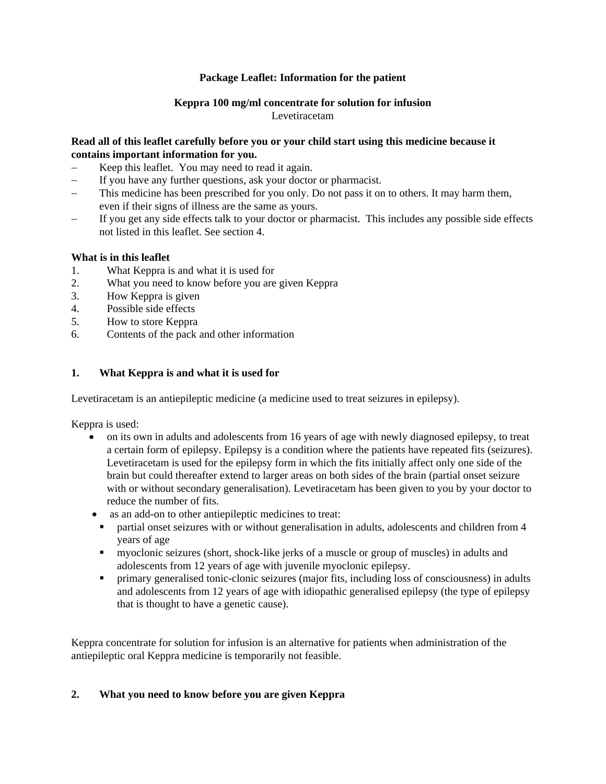#### **Package Leaflet: Information for the patient**

### **Keppra 100 mg/ml concentrate for solution for infusion** Levetiracetam

#### **Read all of this leaflet carefully before you or your child start using this medicine because it contains important information for you.**

- Keep this leaflet. You may need to read it again.
- − If you have any further questions, ask your doctor or pharmacist.
- This medicine has been prescribed for you only. Do not pass it on to others. It may harm them, even if their signs of illness are the same as yours.
- If you get any side effects talk to your doctor or pharmacist. This includes any possible side effects not listed in this leaflet. See section 4.

### **What is in this leaflet**

- 1. What Keppra is and what it is used for
- 2. What you need to know before you are given Keppra
- 3. How Keppra is given
- 4. Possible side effects
- 5. How to store Keppra
- 6. Contents of the pack and other information

## **1. What Keppra is and what it is used for**

Levetiracetam is an antiepileptic medicine (a medicine used to treat seizures in epilepsy).

Keppra is used:

- on its own in adults and adolescents from 16 years of age with newly diagnosed epilepsy, to treat a certain form of epilepsy. Epilepsy is a condition where the patients have repeated fits (seizures). Levetiracetam is used for the epilepsy form in which the fits initially affect only one side of the brain but could thereafter extend to larger areas on both sides of the brain (partial onset seizure with or without secondary generalisation). Levetiracetam has been given to you by your doctor to reduce the number of fits.
- as an add-on to other antiepileptic medicines to treat:
	- partial onset seizures with or without generalisation in adults, adolescents and children from 4 years of age
	- myoclonic seizures (short, shock-like jerks of a muscle or group of muscles) in adults and adolescents from 12 years of age with juvenile myoclonic epilepsy.
	- primary generalised tonic-clonic seizures (major fits, including loss of consciousness) in adults and adolescents from 12 years of age with idiopathic generalised epilepsy (the type of epilepsy that is thought to have a genetic cause).

Keppra concentrate for solution for infusion is an alternative for patients when administration of the antiepileptic oral Keppra medicine is temporarily not feasible.

## **2. What you need to know before you are given Keppra**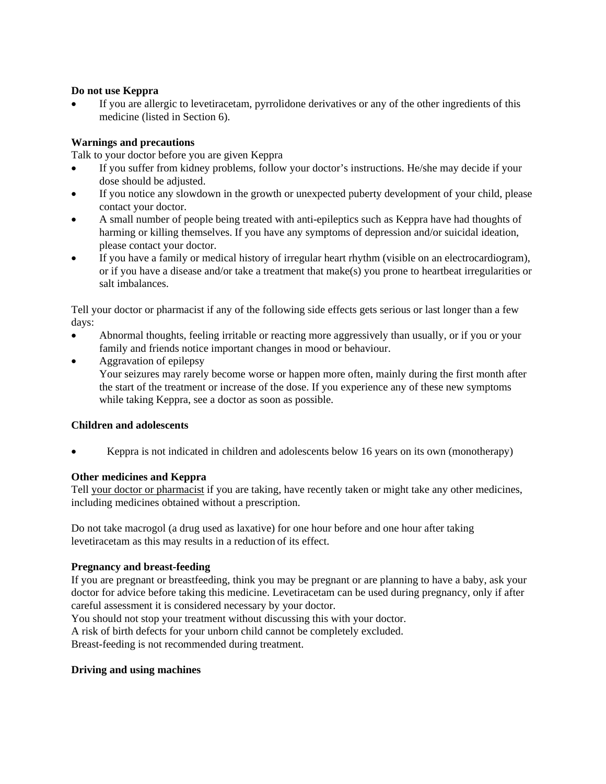#### **Do not use Keppra**

If you are allergic to levetiracetam, pyrrolidone derivatives or any of the other ingredients of this medicine (listed in Section 6).

### **Warnings and precautions**

Talk to your doctor before you are given Keppra

- If you suffer from kidney problems, follow your doctor's instructions. He/she may decide if your dose should be adjusted.
- If you notice any slowdown in the growth or unexpected puberty development of your child, please contact your doctor.
- A small number of people being treated with anti-epileptics such as Keppra have had thoughts of harming or killing themselves. If you have any symptoms of depression and/or suicidal ideation, please contact your doctor.
- If you have a family or medical history of irregular heart rhythm (visible on an electrocardiogram), or if you have a disease and/or take a treatment that make(s) you prone to heartbeat irregularities or salt imbalances.

Tell your doctor or pharmacist if any of the following side effects gets serious or last longer than a few days:

- Abnormal thoughts, feeling irritable or reacting more aggressively than usually, or if you or your family and friends notice important changes in mood or behaviour.
- Aggravation of epilepsy

Your seizures may rarely become worse or happen more often, mainly during the first month after the start of the treatment or increase of the dose. If you experience any of these new symptoms while taking Keppra, see a doctor as soon as possible.

#### **Children and adolescents**

• Keppra is not indicated in children and adolescents below 16 years on its own (monotherapy)

## **Other medicines and Keppra**

Tell your doctor or pharmacist if you are taking, have recently taken or might take any other medicines, including medicines obtained without a prescription.

Do not take macrogol (a drug used as laxative) for one hour before and one hour after taking levetiracetam as this may results in a reduction of its effect.

#### **Pregnancy and breast-feeding**

If you are pregnant or breastfeeding, think you may be pregnant or are planning to have a baby, ask your doctor for advice before taking this medicine. Levetiracetam can be used during pregnancy, only if after careful assessment it is considered necessary by your doctor.

You should not stop your treatment without discussing this with your doctor.

A risk of birth defects for your unborn child cannot be completely excluded.

Breast-feeding is not recommended during treatment.

#### **Driving and using machines**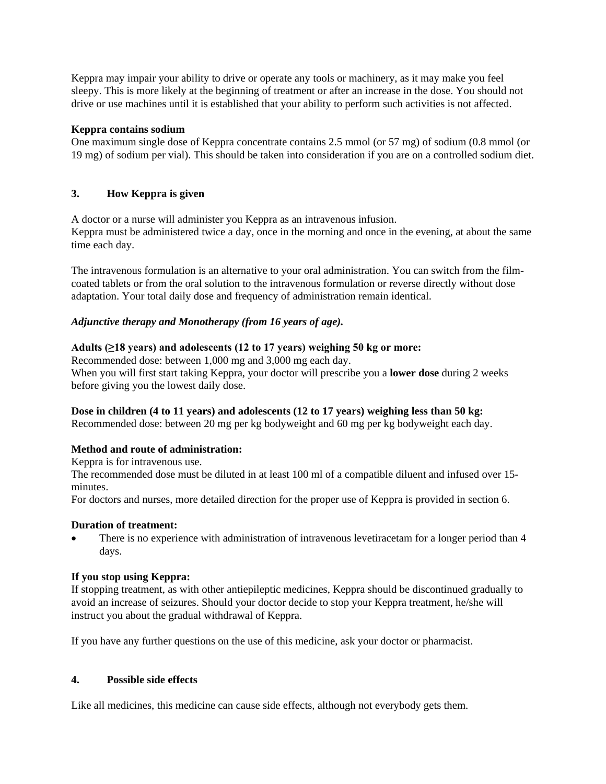Keppra may impair your ability to drive or operate any tools or machinery, as it may make you feel sleepy. This is more likely at the beginning of treatment or after an increase in the dose. You should not drive or use machines until it is established that your ability to perform such activities is not affected.

#### **Keppra contains sodium**

One maximum single dose of Keppra concentrate contains 2.5 mmol (or 57 mg) of sodium (0.8 mmol (or 19 mg) of sodium per vial). This should be taken into consideration if you are on a controlled sodium diet.

## **3. How Keppra is given**

A doctor or a nurse will administer you Keppra as an intravenous infusion. Keppra must be administered twice a day, once in the morning and once in the evening, at about the same time each day.

The intravenous formulation is an alternative to your oral administration. You can switch from the filmcoated tablets or from the oral solution to the intravenous formulation or reverse directly without dose adaptation. Your total daily dose and frequency of administration remain identical.

### *Adjunctive therapy and Monotherapy (from 16 years of age).*

### **Adults (≥18 years) and adolescents (12 to 17 years) weighing 50 kg or more:**

Recommended dose: between 1,000 mg and 3,000 mg each day. When you will first start taking Keppra, your doctor will prescribe you a **lower dose** during 2 weeks before giving you the lowest daily dose.

#### **Dose in children (4 to 11 years) and adolescents (12 to 17 years) weighing less than 50 kg:**

Recommended dose: between 20 mg per kg bodyweight and 60 mg per kg bodyweight each day.

#### **Method and route of administration:**

Keppra is for intravenous use. The recommended dose must be diluted in at least 100 ml of a compatible diluent and infused over 15 minutes.

For doctors and nurses, more detailed direction for the proper use of Keppra is provided in section 6.

#### **Duration of treatment:**

There is no experience with administration of intravenous levetiracetam for a longer period than 4 days.

#### **If you stop using Keppra:**

If stopping treatment, as with other antiepileptic medicines, Keppra should be discontinued gradually to avoid an increase of seizures. Should your doctor decide to stop your Keppra treatment, he/she will instruct you about the gradual withdrawal of Keppra.

If you have any further questions on the use of this medicine, ask your doctor or pharmacist.

#### **4. Possible side effects**

Like all medicines, this medicine can cause side effects, although not everybody gets them.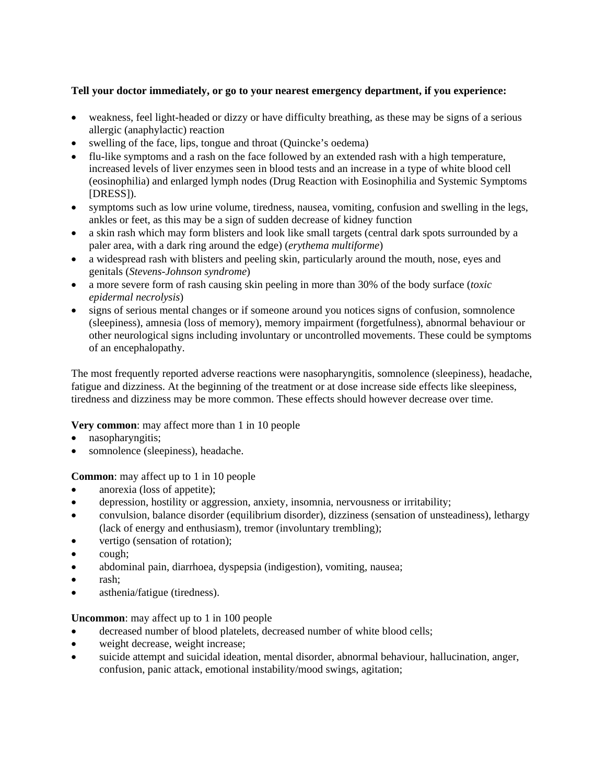## **Tell your doctor immediately, or go to your nearest emergency department, if you experience:**

- weakness, feel light-headed or dizzy or have difficulty breathing, as these may be signs of a serious allergic (anaphylactic) reaction
- swelling of the face, lips, tongue and throat (Quincke's oedema)
- flu-like symptoms and a rash on the face followed by an extended rash with a high temperature, increased levels of liver enzymes seen in blood tests and an increase in a type of white blood cell (eosinophilia) and enlarged lymph nodes (Drug Reaction with Eosinophilia and Systemic Symptoms [DRESS]).
- symptoms such as low urine volume, tiredness, nausea, vomiting, confusion and swelling in the legs, ankles or feet, as this may be a sign of sudden decrease of kidney function
- a skin rash which may form blisters and look like small targets (central dark spots surrounded by a paler area, with a dark ring around the edge) (*erythema multiforme*)
- a widespread rash with blisters and peeling skin, particularly around the mouth, nose, eyes and genitals (*Stevens-Johnson syndrome*)
- a more severe form of rash causing skin peeling in more than 30% of the body surface (*toxic epidermal necrolysis*)
- signs of serious mental changes or if someone around you notices signs of confusion, somnolence (sleepiness), amnesia (loss of memory), memory impairment (forgetfulness), abnormal behaviour or other neurological signs including involuntary or uncontrolled movements. These could be symptoms of an encephalopathy.

The most frequently reported adverse reactions were nasopharyngitis, somnolence (sleepiness), headache, fatigue and dizziness. At the beginning of the treatment or at dose increase side effects like sleepiness, tiredness and dizziness may be more common. These effects should however decrease over time.

#### **Very common**: may affect more than 1 in 10 people

- nasopharyngitis;
- somnolence (sleepiness), headache.

**Common:** may affect up to 1 in 10 people

- anorexia (loss of appetite);
- depression, hostility or aggression, anxiety, insomnia, nervousness or irritability;
- convulsion, balance disorder (equilibrium disorder), dizziness (sensation of unsteadiness), lethargy (lack of energy and enthusiasm), tremor (involuntary trembling);
- vertigo (sensation of rotation);
- cough;
- abdominal pain, diarrhoea, dyspepsia (indigestion), vomiting, nausea;
- rash;
- asthenia/fatigue (tiredness).

**Uncommon**: may affect up to 1 in 100 people

- decreased number of blood platelets, decreased number of white blood cells;
- weight decrease, weight increase;
- suicide attempt and suicidal ideation, mental disorder, abnormal behaviour, hallucination, anger, confusion, panic attack, emotional instability/mood swings, agitation;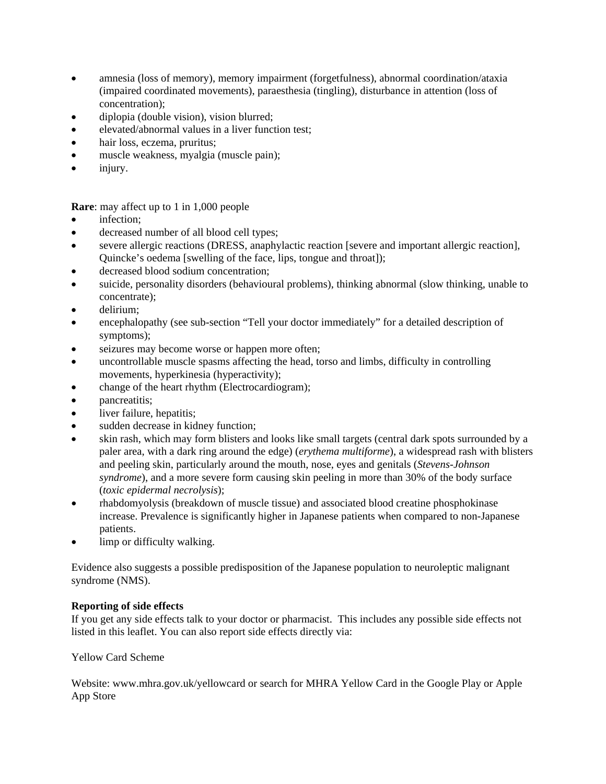- amnesia (loss of memory), memory impairment (forgetfulness), abnormal coordination/ataxia (impaired coordinated movements), paraesthesia (tingling), disturbance in attention (loss of concentration);
- diplopia (double vision), vision blurred;
- elevated/abnormal values in a liver function test;
- hair loss, eczema, pruritus;
- muscle weakness, myalgia (muscle pain);
- injury.

**Rare**: may affect up to 1 in 1,000 people

- infection;
- decreased number of all blood cell types;
- severe allergic reactions (DRESS, anaphylactic reaction [severe and important allergic reaction], Quincke's oedema [swelling of the face, lips, tongue and throat]);
- decreased blood sodium concentration;
- suicide, personality disorders (behavioural problems), thinking abnormal (slow thinking, unable to concentrate);
- delirium:
- encephalopathy (see sub-section "Tell your doctor immediately" for a detailed description of symptoms);
- seizures may become worse or happen more often;
- uncontrollable muscle spasms affecting the head, torso and limbs, difficulty in controlling movements, hyperkinesia (hyperactivity);
- change of the heart rhythm (Electrocardiogram);
- **pancreatitis**:
- liver failure, hepatitis;
- sudden decrease in kidney function;
- skin rash, which may form blisters and looks like small targets (central dark spots surrounded by a paler area, with a dark ring around the edge) (*erythema multiforme*), a widespread rash with blisters and peeling skin, particularly around the mouth, nose, eyes and genitals (*Stevens-Johnson syndrome*), and a more severe form causing skin peeling in more than 30% of the body surface (*toxic epidermal necrolysis*);
- rhabdomyolysis (breakdown of muscle tissue) and associated blood creatine phosphokinase increase. Prevalence is significantly higher in Japanese patients when compared to non-Japanese patients.
- limp or difficulty walking.

Evidence also suggests a possible predisposition of the Japanese population to neuroleptic malignant syndrome (NMS).

## **Reporting of side effects**

If you get any side effects talk to your doctor or pharmacist. This includes any possible side effects not listed in this leaflet. You can also report side effects directly via:

## Yellow Card Scheme

Website: www.mhra.gov.uk/yellowcard or search for MHRA Yellow Card in the Google Play or Apple App Store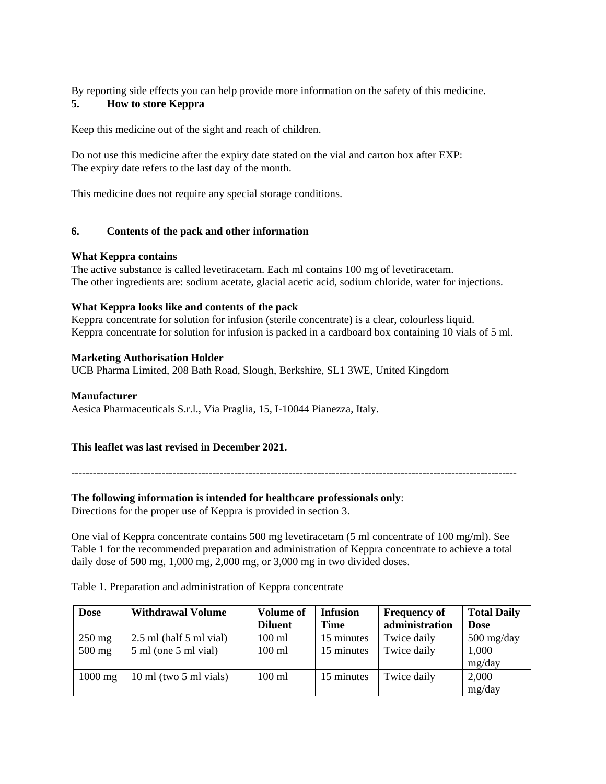By reporting side effects you can help provide more information on the safety of this medicine.

# **5. How to store Keppra**

Keep this medicine out of the sight and reach of children.

Do not use this medicine after the expiry date stated on the vial and carton box after EXP: The expiry date refers to the last day of the month.

This medicine does not require any special storage conditions.

### **6. Contents of the pack and other information**

#### **What Keppra contains**

The active substance is called levetiracetam. Each ml contains 100 mg of levetiracetam. The other ingredients are: sodium acetate, glacial acetic acid, sodium chloride, water for injections.

### **What Keppra looks like and contents of the pack**

Keppra concentrate for solution for infusion (sterile concentrate) is a clear, colourless liquid. Keppra concentrate for solution for infusion is packed in a cardboard box containing 10 vials of 5 ml.

### **Marketing Authorisation Holder**

UCB Pharma Limited, 208 Bath Road, Slough, Berkshire, SL1 3WE, United Kingdom

#### **Manufacturer**

Aesica Pharmaceuticals S.r.l., Via Praglia, 15, I-10044 Pianezza, Italy.

## **This leaflet was last revised in December 2021.**

---------------------------------------------------------------------------------------------------------------------------

## **The following information is intended for healthcare professionals only**:

Directions for the proper use of Keppra is provided in section 3.

One vial of Keppra concentrate contains 500 mg levetiracetam (5 ml concentrate of 100 mg/ml). See Table 1 for the recommended preparation and administration of Keppra concentrate to achieve a total daily dose of 500 mg, 1,000 mg, 2,000 mg, or 3,000 mg in two divided doses.

| <b>Dose</b>      | <b>Withdrawal Volume</b>                   | <b>Volume of</b> | <b>Infusion</b> | <b>Frequency of</b> | <b>Total Daily</b> |
|------------------|--------------------------------------------|------------------|-----------------|---------------------|--------------------|
|                  |                                            | <b>Diluent</b>   | <b>Time</b>     | administration      | <b>Dose</b>        |
| $250 \text{ mg}$ | $2.5$ ml (half $5$ ml vial)                | 100 ml           | 15 minutes      | Twice daily         | $500$ mg/day       |
| $500$ mg         | $5 \text{ ml}$ (one $5 \text{ ml}$ vial)   | $100 \text{ ml}$ | 15 minutes      | Twice daily         | 1,000<br>mg/day    |
| $1000$ mg        | $10 \text{ ml}$ (two $5 \text{ ml}$ vials) | $100 \text{ ml}$ | 15 minutes      | Twice daily         | 2,000              |
|                  |                                            |                  |                 |                     | mg/day             |

#### Table 1. Preparation and administration of Keppra concentrate